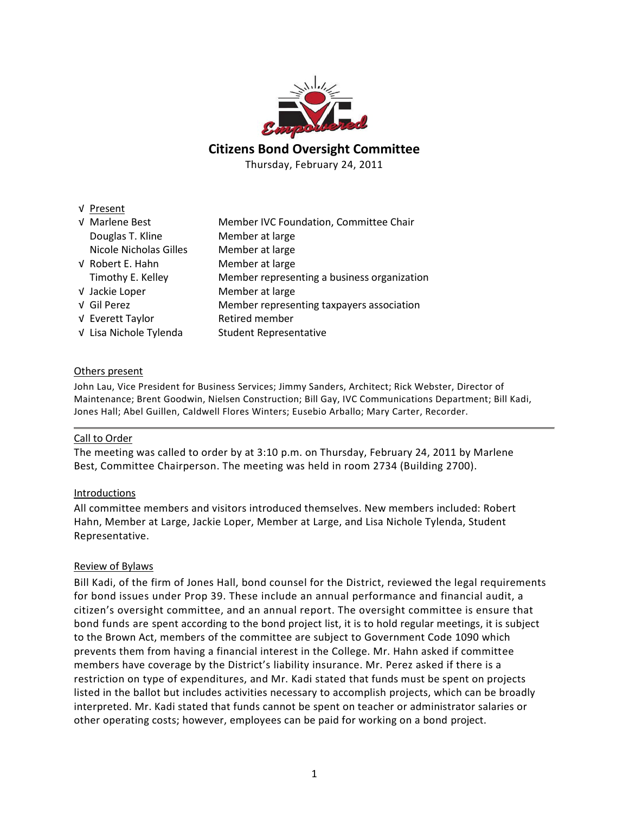

# **Citizens Bond Oversight Committee**

Thursday, February 24, 2011

| V Present              |                                                                                                                                                                                                                                     |
|------------------------|-------------------------------------------------------------------------------------------------------------------------------------------------------------------------------------------------------------------------------------|
| V Marlene Best         | Member IVC Foundation, Committee Chair                                                                                                                                                                                              |
| Douglas T. Kline       | Member at large                                                                                                                                                                                                                     |
| Nicole Nicholas Gilles | Member at large                                                                                                                                                                                                                     |
| V Robert E. Hahn       | Member at large                                                                                                                                                                                                                     |
|                        | <b>N</b> A considered to the contract of the construction of the construction of the construction of the construction of the construction of the construction of the construction of the construction of the construction of the co |

t large t large t large Timothy E. Kelley Member representing a business organization √ Jackie Loper Member at large √ Gil Perez Member representing taxpayers association √ Everett Taylor Retired member √ Lisa Nichole Tylenda Student Representative

## Others present

John Lau, Vice President for Business Services; Jimmy Sanders, Architect; Rick Webster, Director of Maintenance; Brent Goodwin, Nielsen Construction; Bill Gay, IVC Communications Department; Bill Kadi, Jones Hall; Abel Guillen, Caldwell Flores Winters; Eusebio Arballo; Mary Carter, Recorder.

### Call to Order

The meeting was called to order by at 3:10 p.m. on Thursday, February 24, 2011 by Marlene Best, Committee Chairperson. The meeting was held in room 2734 (Building 2700).

### Introductions

All committee members and visitors introduced themselves. New members included: Robert Hahn, Member at Large, Jackie Loper, Member at Large, and Lisa Nichole Tylenda, Student Representative.

### Review of Bylaws

Bill Kadi, of the firm of Jones Hall, bond counsel for the District, reviewed the legal requirements for bond issues under Prop 39. These include an annual performance and financial audit, a citizen's oversight committee, and an annual report. The oversight committee is ensure that bond funds are spent according to the bond project list, it is to hold regular meetings, it is subject to the Brown Act, members of the committee are subject to Government Code 1090 which prevents them from having a financial interest in the College. Mr. Hahn asked if committee members have coverage by the District's liability insurance. Mr. Perez asked if there is a restriction on type of expenditures, and Mr. Kadi stated that funds must be spent on projects listed in the ballot but includes activities necessary to accomplish projects, which can be broadly interpreted. Mr. Kadi stated that funds cannot be spent on teacher or administrator salaries or other operating costs; however, employees can be paid for working on a bond project.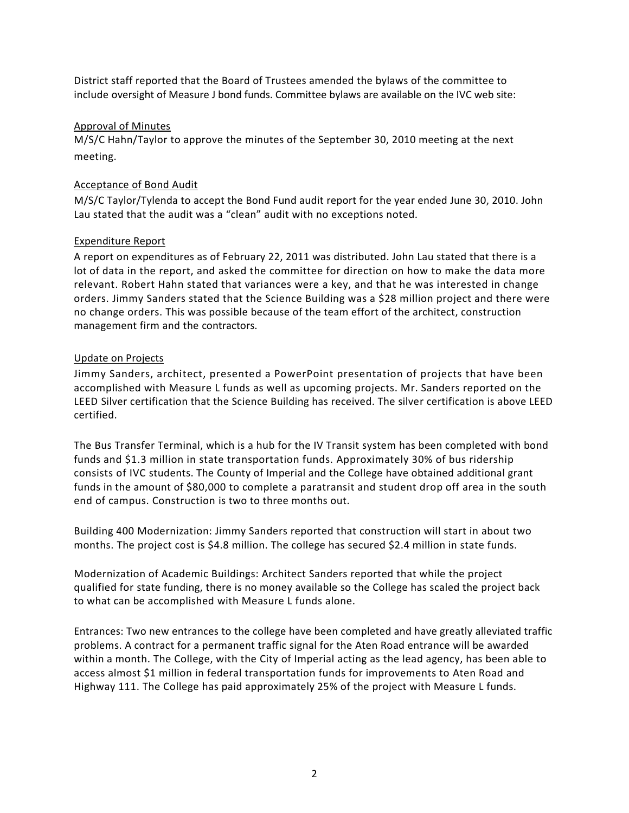District staff reported that the Board of Trustees amended the bylaws of the committee to include oversight of Measure J bond funds. Committee bylaws are available on the IVC web site:

## Approval of Minutes

M/S/C Hahn/Taylor to approve the minutes of the September 30, 2010 meeting at the next meeting.

## Acceptance of Bond Audit

M/S/C Taylor/Tylenda to accept the Bond Fund audit report for the year ended June 30, 2010. John Lau stated that the audit was a "clean" audit with no exceptions noted.

## Expenditure Report

A report on expenditures as of February 22, 2011 was distributed. John Lau stated that there is a lot of data in the report, and asked the committee for direction on how to make the data more relevant. Robert Hahn stated that variances were a key, and that he was interested in change orders. Jimmy Sanders stated that the Science Building was a \$28 million project and there were no change orders. This was possible because of the team effort of the architect, construction management firm and the contractors.

## Update on Projects

Jimmy Sanders, architect, presented a PowerPoint presentation of projects that have been accomplished with Measure L funds as well as upcoming projects. Mr. Sanders reported on the LEED Silver certification that the Science Building has received. The silver certification is above LEED certified.

The Bus Transfer Terminal, which is a hub for the IV Transit system has been completed with bond funds and \$1.3 million in state transportation funds. Approximately 30% of bus ridership consists of IVC students. The County of Imperial and the College have obtained additional grant funds in the amount of \$80,000 to complete a paratransit and student drop off area in the south end of campus. Construction is two to three months out.

Building 400 Modernization: Jimmy Sanders reported that construction will start in about two months. The project cost is \$4.8 million. The college has secured \$2.4 million in state funds.

Modernization of Academic Buildings: Architect Sanders reported that while the project qualified for state funding, there is no money available so the College has scaled the project back to what can be accomplished with Measure L funds alone.

Entrances: Two new entrances to the college have been completed and have greatly alleviated traffic problems. A contract for a permanent traffic signal for the Aten Road entrance will be awarded within a month. The College, with the City of Imperial acting as the lead agency, has been able to access almost \$1 million in federal transportation funds for improvements to Aten Road and Highway 111. The College has paid approximately 25% of the project with Measure L funds.